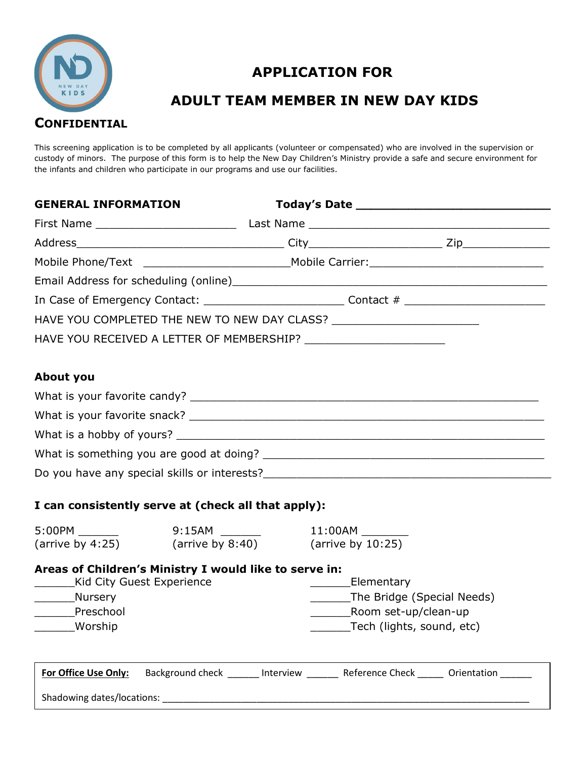

# APPLICATION FOR

## ADULT TEAM MEMBER IN NEW DAY KIDS

This screening application is to be completed by all applicants (volunteer or compensated) who are involved in the supervision or custody of minors. The purpose of this form is to help the New Day Children's Ministry provide a safe and secure environment for the infants and children who participate in our programs and use our facilities.

| <b>GENERAL INFORMATION</b>                                                                           |  |  |                                                                                                             |  |  |  |  |
|------------------------------------------------------------------------------------------------------|--|--|-------------------------------------------------------------------------------------------------------------|--|--|--|--|
|                                                                                                      |  |  |                                                                                                             |  |  |  |  |
|                                                                                                      |  |  |                                                                                                             |  |  |  |  |
|                                                                                                      |  |  |                                                                                                             |  |  |  |  |
|                                                                                                      |  |  | Email Address for scheduling (online) Manual Manual Manual Manual Manual Manual Manual Manual Manual Manual |  |  |  |  |
| In Case of Emergency Contact: ________________________________Contact # ____________________________ |  |  |                                                                                                             |  |  |  |  |
|                                                                                                      |  |  |                                                                                                             |  |  |  |  |
|                                                                                                      |  |  |                                                                                                             |  |  |  |  |
|                                                                                                      |  |  |                                                                                                             |  |  |  |  |
| <b>About you</b>                                                                                     |  |  |                                                                                                             |  |  |  |  |
|                                                                                                      |  |  |                                                                                                             |  |  |  |  |
|                                                                                                      |  |  |                                                                                                             |  |  |  |  |
|                                                                                                      |  |  |                                                                                                             |  |  |  |  |
|                                                                                                      |  |  |                                                                                                             |  |  |  |  |
|                                                                                                      |  |  |                                                                                                             |  |  |  |  |
|                                                                                                      |  |  |                                                                                                             |  |  |  |  |
| I can consistently serve at (check all that apply):                                                  |  |  |                                                                                                             |  |  |  |  |
|                                                                                                      |  |  |                                                                                                             |  |  |  |  |
| (arrive by 4:25) $\qquad$ (arrive by 8:40) $\qquad$ (arrive by 10:25)                                |  |  |                                                                                                             |  |  |  |  |
| Areas of Children's Ministry I would like to serve in:                                               |  |  |                                                                                                             |  |  |  |  |
| _________Kid City Guest Experience                                                                   |  |  | Elementary                                                                                                  |  |  |  |  |
| _________Nursery                                                                                     |  |  | ________The Bridge (Special Needs)                                                                          |  |  |  |  |
| ________Preschool<br>______________Room set-up/clean-up<br>_______Tech (lights, sound, etc)          |  |  |                                                                                                             |  |  |  |  |
| ______Worship                                                                                        |  |  |                                                                                                             |  |  |  |  |
| For Office Use Only:                                                                                 |  |  | Background check ______ Interview ______ Reference Check _____ Orientation _____                            |  |  |  |  |
| Shadowing dates/locations:                                                                           |  |  |                                                                                                             |  |  |  |  |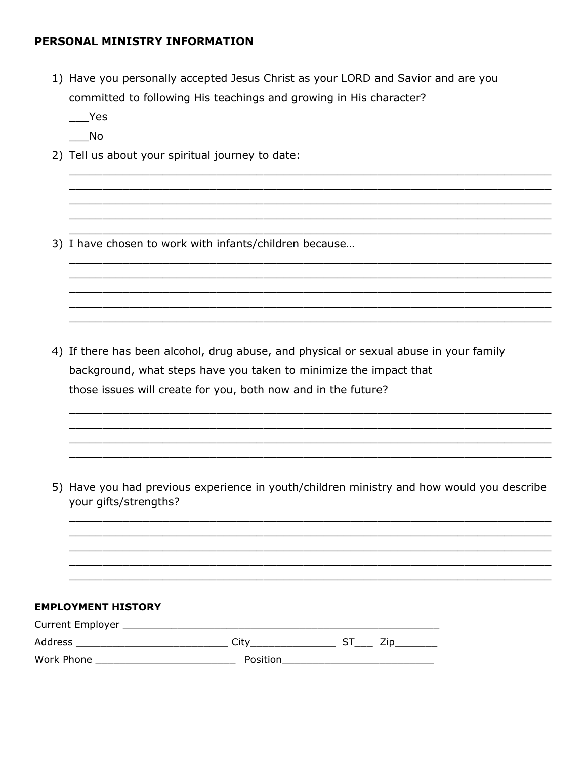### PERSONAL MINISTRY INFORMATION

1) Have you personally accepted Jesus Christ as your LORD and Savior and are you committed to following His teachings and growing in His character?

 $\rule{1em}{0.15mm}$  Yes

- $\sqrt{N}$
- 2) Tell us about your spiritual journey to date:

3) I have chosen to work with infants/children because...

4) If there has been alcohol, drug abuse, and physical or sexual abuse in your family background, what steps have you taken to minimize the impact that those issues will create for you, both now and in the future?

5) Have you had previous experience in youth/children ministry and how would you describe your gifts/strengths?

#### **EMPLOYMENT HISTORY**

| <b>Current Employer</b> |          |  |
|-------------------------|----------|--|
| Address                 | City     |  |
| Work Phone              | Position |  |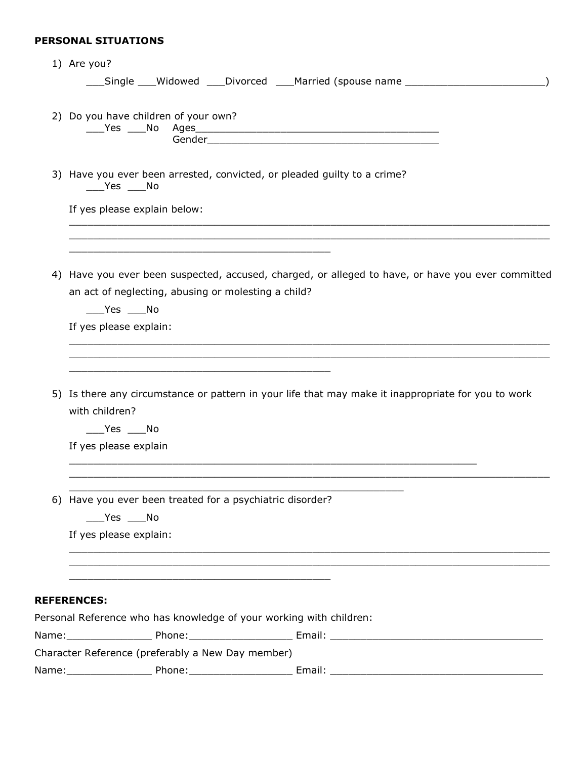## PERSONAL SITUATIONS

|    | 1) Are you?                                                                                                                                                                                                                                                                                                                                                                                                                                                                                                                                      |
|----|--------------------------------------------------------------------------------------------------------------------------------------------------------------------------------------------------------------------------------------------------------------------------------------------------------------------------------------------------------------------------------------------------------------------------------------------------------------------------------------------------------------------------------------------------|
|    | ___Single ___Widowed ___Divorced ___Married (spouse name _______________________                                                                                                                                                                                                                                                                                                                                                                                                                                                                 |
|    | 2) Do you have children of your own?                                                                                                                                                                                                                                                                                                                                                                                                                                                                                                             |
|    | 3) Have you ever been arrested, convicted, or pleaded guilty to a crime?<br>$\rule{1em}{0.15mm}$ $\qquad$ $\qquad$ $\qquad$ $\blacksquare$ $\blacksquare$ $\blacksquare$ $\blacksquare$ $\blacksquare$ $\blacksquare$ $\blacksquare$ $\blacksquare$ $\blacksquare$ $\blacksquare$ $\blacksquare$ $\blacksquare$ $\blacksquare$ $\blacksquare$ $\blacksquare$ $\blacksquare$ $\blacksquare$ $\blacksquare$ $\blacksquare$ $\blacksquare$ $\blacksquare$ $\blacksquare$ $\blacksquare$ $\blacksquare$ $\blacksquare$ $\blacksquare$ $\blacksquare$ |
|    | If yes please explain below:                                                                                                                                                                                                                                                                                                                                                                                                                                                                                                                     |
| 4) | Have you ever been suspected, accused, charged, or alleged to have, or have you ever committed                                                                                                                                                                                                                                                                                                                                                                                                                                                   |
|    | an act of neglecting, abusing or molesting a child?<br>$\rule{1em}{0.15mm}$ $\qquad$ $\qquad$ $\qquad$ $\qquad$ $\qquad$ $\qquad$ $\qquad$ $\qquad$ $\qquad$ $\qquad$ $\qquad$ $\qquad$ $\qquad$ $\qquad$ $\qquad$ $\qquad$ $\qquad$ $\qquad$ $\qquad$ $\qquad$ $\qquad$ $\qquad$ $\qquad$ $\qquad$ $\qquad$ $\qquad$ $\qquad$ $\qquad$ $\qquad$ $\qquad$ $\qquad$ $\qquad$ $\qquad$ $\qquad$ $\$                                                                                                                                                |
|    | If yes please explain:                                                                                                                                                                                                                                                                                                                                                                                                                                                                                                                           |
|    | 5) Is there any circumstance or pattern in your life that may make it inappropriate for you to work<br>with children?<br>$\rule{1em}{0.15mm}$ $\qquad$ $\qquad$ $\qquad$ $\qquad$ $\qquad$ $\qquad$ $\qquad$ $\qquad$ $\qquad$ $\qquad$ $\qquad$ $\qquad$ $\qquad$ $\qquad$ $\qquad$ $\qquad$ $\qquad$ $\qquad$ $\qquad$ $\qquad$ $\qquad$ $\qquad$ $\qquad$ $\qquad$ $\qquad$ $\qquad$ $\qquad$ $\qquad$ $\qquad$ $\qquad$ $\qquad$ $\qquad$ $\qquad$ $\qquad$ $\$<br>If yes please explain                                                     |
|    | 6) Have you ever been treated for a psychiatric disorder?<br>$\rule{1em}{0.15mm}$ $\qquad$ $\qquad$ $\qquad$ $\qquad$ $\qquad$ $\qquad$ $\qquad$ $\qquad$ $\qquad$ $\qquad$ $\qquad$ $\qquad$ $\qquad$ $\qquad$ $\qquad$ $\qquad$ $\qquad$ $\qquad$ $\qquad$ $\qquad$ $\qquad$ $\qquad$ $\qquad$ $\qquad$ $\qquad$ $\qquad$ $\qquad$ $\qquad$ $\qquad$ $\qquad$ $\qquad$ $\qquad$ $\qquad$ $\qquad$ $\$<br>If yes please explain:                                                                                                                |
|    | <b>REFERENCES:</b>                                                                                                                                                                                                                                                                                                                                                                                                                                                                                                                               |
|    | Personal Reference who has knowledge of your working with children:                                                                                                                                                                                                                                                                                                                                                                                                                                                                              |
|    | Character Reference (preferably a New Day member)                                                                                                                                                                                                                                                                                                                                                                                                                                                                                                |
|    | Phone:<br>Email:                                                                                                                                                                                                                                                                                                                                                                                                                                                                                                                                 |